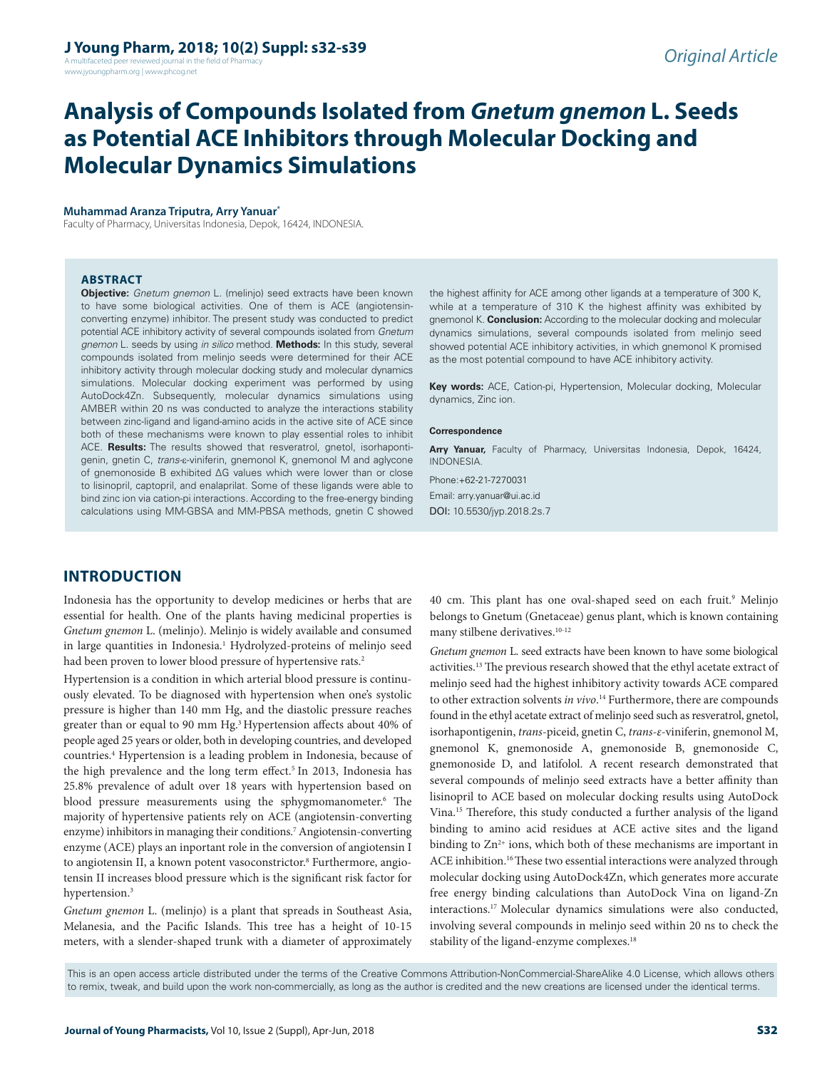A multifaceted peer reviewed journal in the field of Pharmacy www.jyoungpharm.org | www.phcog.net

# **Analysis of Compounds Isolated from** *Gnetum gnemon* **L. Seeds as Potential ACE Inhibitors through Molecular Docking and Molecular Dynamics Simulations**

#### **Muhammad Aranza Triputra, Arry Yanuar\***

Faculty of Pharmacy, Universitas Indonesia, Depok, 16424, INDONESIA.

#### **ABSTRACT**

**Objective:** *Gnetum gnemon* L. (melinjo) seed extracts have been known to have some biological activities. One of them is ACE (angiotensinconverting enzyme) inhibitor. The present study was conducted to predict potential ACE inhibitory activity of several compounds isolated from *Gnetum gnemon* L. seeds by using *in silico* method. **Methods:** In this study, several compounds isolated from melinjo seeds were determined for their ACE inhibitory activity through molecular docking study and molecular dynamics simulations. Molecular docking experiment was performed by using AutoDock4Zn. Subsequently, molecular dynamics simulations using AMBER within 20 ns was conducted to analyze the interactions stability between zinc-ligand and ligand-amino acids in the active site of ACE since both of these mechanisms were known to play essential roles to inhibit ACE. **Results:** The results showed that resveratrol, gnetol, isorhapontigenin, gnetin C, *trans-*ε-viniferin, gnemonol K, gnemonol M and aglycone of gnemonoside B exhibited ∆G values which were lower than or close to lisinopril, captopril, and enalaprilat. Some of these ligands were able to bind zinc ion via cation-pi interactions. According to the free-energy binding calculations using MM-GBSA and MM-PBSA methods, gnetin C showed

the highest affinity for ACE among other ligands at a temperature of 300 K, while at a temperature of 310 K the highest affinity was exhibited by gnemonol K. **Conclusion:** According to the molecular docking and molecular dynamics simulations, several compounds isolated from melinjo seed showed potential ACE inhibitory activities, in which gnemonol K promised as the most potential compound to have ACE inhibitory activity.

**Key words:** ACE, Cation-pi, Hypertension, Molecular docking, Molecular dynamics, Zinc ion.

#### **Correspondence**

**Arry Yanuar,** Faculty of Pharmacy, Universitas Indonesia, Depok, 16424, INDONESIA. Phone:+62-21-7270031

Email: arry.yanuar@ui.ac.id DOI: 10.5530/jyp.2018.2s.7

## **INTRODUCTION**

Indonesia has the opportunity to develop medicines or herbs that are essential for health. One of the plants having medicinal properties is *Gnetum gnemon* L. (melinjo). Melinjo is widely available and consumed in large quantities in Indonesia.<sup>1</sup> Hydrolyzed-proteins of melinjo seed had been proven to lower blood pressure of hypertensive rats.<sup>2</sup>

Hypertension is a condition in which arterial blood pressure is continuously elevated. To be diagnosed with hypertension when one's systolic pressure is higher than 140 mm Hg, and the diastolic pressure reaches greater than or equal to 90 mm Hg.<sup>3</sup> Hypertension affects about 40% of people aged 25 years or older, both in developing countries, and developed countries.4 Hypertension is a leading problem in Indonesia, because of the high prevalence and the long term effect.<sup>5</sup> In 2013, Indonesia has 25.8% prevalence of adult over 18 years with hypertension based on blood pressure measurements using the sphygmomanometer.<sup>6</sup> The majority of hypertensive patients rely on ACE (angiotensin-converting enzyme) inhibitors in managing their conditions.7 Angiotensin-converting enzyme (ACE) plays an inportant role in the conversion of angiotensin I to angiotensin II, a known potent vasoconstrictor.<sup>8</sup> Furthermore, angiotensin II increases blood pressure which is the significant risk factor for hypertension.<sup>3</sup>

*Gnetum gnemon* L. (melinjo) is a plant that spreads in Southeast Asia, Melanesia, and the Pacific Islands. This tree has a height of 10-15 meters, with a slender-shaped trunk with a diameter of approximately

40 cm. This plant has one oval-shaped seed on each fruit.<sup>9</sup> Melinjo belongs to Gnetum (Gnetaceae) genus plant, which is known containing many stilbene derivatives.<sup>10-12</sup>

*Gnetum gnemon* L. seed extracts have been known to have some biological activities.13 The previous research showed that the ethyl acetate extract of melinjo seed had the highest inhibitory activity towards ACE compared to other extraction solvents *in vivo*. 14 Furthermore, there are compounds found in the ethyl acetate extract of melinjo seed such as resveratrol, gnetol, isorhapontigenin, *trans*-piceid, gnetin C, *trans-ε-*viniferin, gnemonol M, gnemonol K, gnemonoside A, gnemonoside B, gnemonoside C, gnemonoside D, and latifolol. A recent research demonstrated that several compounds of melinjo seed extracts have a better affinity than lisinopril to ACE based on molecular docking results using AutoDock Vina.15 Therefore, this study conducted a further analysis of the ligand binding to amino acid residues at ACE active sites and the ligand binding to  $\text{Zn}^{2+}$  ions, which both of these mechanisms are important in ACE inhibition.<sup>16</sup> These two essential interactions were analyzed through molecular docking using AutoDock4Zn, which generates more accurate free energy binding calculations than AutoDock Vina on ligand-Zn interactions.17 Molecular dynamics simulations were also conducted, involving several compounds in melinjo seed within 20 ns to check the stability of the ligand-enzyme complexes.<sup>18</sup>

This is an open access article distributed under the terms of the Creative Commons Attribution-NonCommercial-ShareAlike 4.0 License, which allows others to remix, tweak, and build upon the work non-commercially, as long as the author is credited and the new creations are licensed under the identical terms.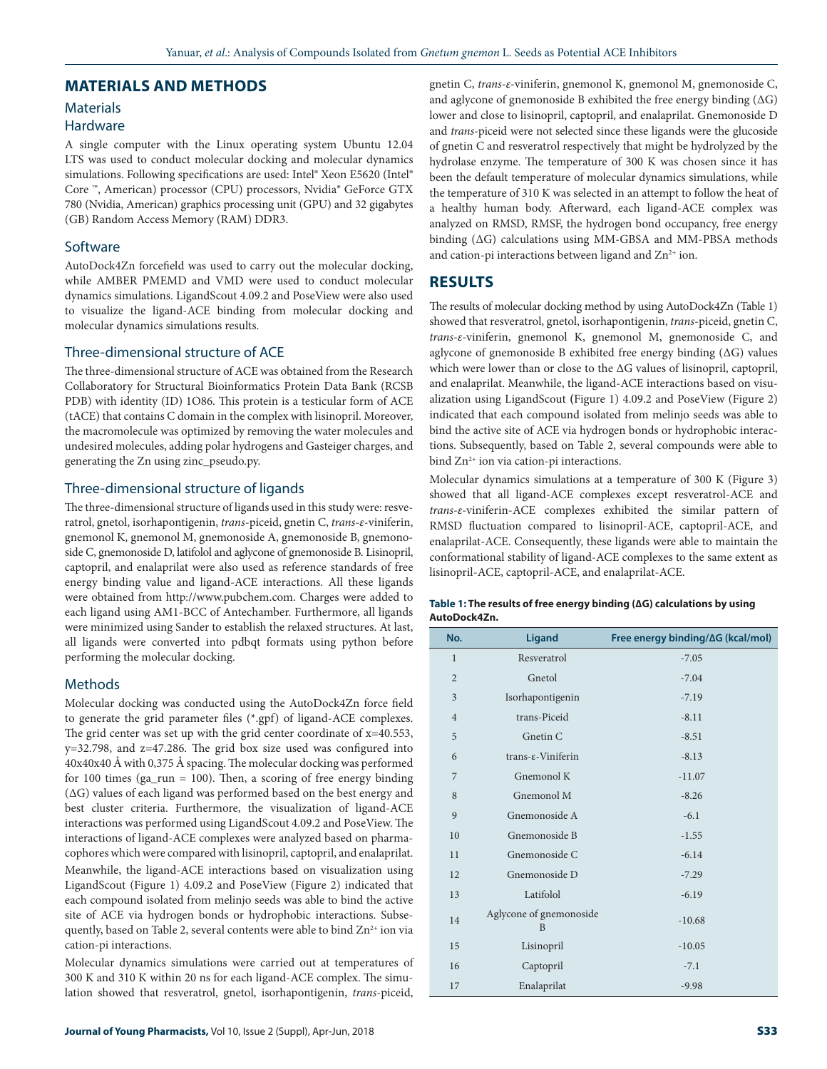#### **MATERIALS AND METHODS**

# **Materials**

# **Hardware**

A single computer with the Linux operating system Ubuntu 12.04 LTS was used to conduct molecular docking and molecular dynamics simulations. Following specifications are used: Intel® Xeon E5620 (Intel®) Core ™, American) processor (CPU) processors, Nvidia® GeForce GTX 780 (Nvidia, American) graphics processing unit (GPU) and 32 gigabytes (GB) Random Access Memory (RAM) DDR3.

### Software

AutoDock4Zn forcefield was used to carry out the molecular docking, while AMBER PMEMD and VMD were used to conduct molecular dynamics simulations. LigandScout 4.09.2 and PoseView were also used to visualize the ligand-ACE binding from molecular docking and molecular dynamics simulations results.

#### Three-dimensional structure of ACE

The three-dimensional structure of ACE was obtained from the Research Collaboratory for Structural Bioinformatics Protein Data Bank (RCSB PDB) with identity (ID) 1O86. This protein is a testicular form of ACE (tACE) that contains C domain in the complex with lisinopril. Moreover, the macromolecule was optimized by removing the water molecules and undesired molecules, adding polar hydrogens and Gasteiger charges, and generating the Zn using zinc\_pseudo.py.

#### Three-dimensional structure of ligands

The three-dimensional structure of ligands used in this study were: resveratrol, gnetol, isorhapontigenin, *trans*-piceid, gnetin C, *trans-ε*-viniferin, gnemonol K, gnemonol M, gnemonoside A, gnemonoside B, gnemonoside C, gnemonoside D, latifolol and aglycone of gnemonoside B. Lisinopril, captopril, and enalaprilat were also used as reference standards of free energy binding value and ligand-ACE interactions. All these ligands were obtained from http://www.pubchem.com. Charges were added to each ligand using AM1-BCC of Antechamber. Furthermore, all ligands were minimized using Sander to establish the relaxed structures. At last, all ligands were converted into pdbqt formats using python before performing the molecular docking.

#### Methods

Molecular docking was conducted using the AutoDock4Zn force field to generate the grid parameter files (\*.gpf) of ligand-ACE complexes. The grid center was set up with the grid center coordinate of x=40.553, y=32.798, and z=47.286. The grid box size used was configured into 40x40x40 Å with 0,375 Å spacing. The molecular docking was performed for 100 times (ga\_run = 100). Then, a scoring of free energy binding (ΔG) values of each ligand was performed based on the best energy and best cluster criteria. Furthermore, the visualization of ligand-ACE interactions was performed using LigandScout 4.09.2 and PoseView. The interactions of ligand-ACE complexes were analyzed based on pharmacophores which were compared with lisinopril, captopril, and enalaprilat.

Meanwhile, the ligand-ACE interactions based on visualization using LigandScout (Figure 1) 4.09.2 and PoseView (Figure 2) indicated that each compound isolated from melinjo seeds was able to bind the active site of ACE via hydrogen bonds or hydrophobic interactions. Subsequently, based on Table 2, several contents were able to bind  $\text{Zn}^{2+}$  ion via cation-pi interactions.

Molecular dynamics simulations were carried out at temperatures of 300 K and 310 K within 20 ns for each ligand-ACE complex. The simulation showed that resveratrol, gnetol, isorhapontigenin, *trans*-piceid,

gnetin C, *trans-ε-*viniferin, gnemonol K, gnemonol M, gnemonoside C, and aglycone of gnemonoside B exhibited the free energy binding (∆G) lower and close to lisinopril, captopril, and enalaprilat. Gnemonoside D and *trans*-piceid were not selected since these ligands were the glucoside of gnetin C and resveratrol respectively that might be hydrolyzed by the hydrolase enzyme. The temperature of 300 K was chosen since it has been the default temperature of molecular dynamics simulations, while the temperature of 310 K was selected in an attempt to follow the heat of a healthy human body. Afterward, each ligand-ACE complex was analyzed on RMSD, RMSF, the hydrogen bond occupancy, free energy binding (∆G) calculations using MM-GBSA and MM-PBSA methods and cation-pi interactions between ligand and  $\text{Zn}^{2+}$  ion.

## **RESULTS**

The results of molecular docking method by using AutoDock4Zn (Table 1) showed that resveratrol, gnetol, isorhapontigenin, *trans*-piceid, gnetin C, *trans-ε-*viniferin, gnemonol K, gnemonol M, gnemonoside C, and aglycone of gnemonoside B exhibited free energy binding (∆G) values which were lower than or close to the ∆G values of lisinopril, captopril, and enalaprilat. Meanwhile, the ligand-ACE interactions based on visualization using LigandScout **(**Figure 1) 4.09.2 and PoseView (Figure 2) indicated that each compound isolated from melinjo seeds was able to bind the active site of ACE via hydrogen bonds or hydrophobic interactions. Subsequently, based on Table 2, several compounds were able to bind  $Zn^{2+}$  ion via cation-pi interactions.

Molecular dynamics simulations at a temperature of 300 K (Figure 3) showed that all ligand-ACE complexes except resveratrol-ACE and *trans-ε-*viniferin-ACE complexes exhibited the similar pattern of RMSD fluctuation compared to lisinopril-ACE, captopril-ACE, and enalaprilat-ACE. Consequently, these ligands were able to maintain the conformational stability of ligand-ACE complexes to the same extent as lisinopril-ACE, captopril-ACE, and enalaprilat-ACE.

| Table 1: The results of free energy binding $( \Delta G)$ calculations by using |  |
|---------------------------------------------------------------------------------|--|
| AutoDock4Zn.                                                                    |  |

| No.            | <b>Ligand</b>                | Free energy binding/∆G (kcal/mol) |
|----------------|------------------------------|-----------------------------------|
| $\mathbf{1}$   | Resveratrol                  | $-7.05$                           |
| $\overline{2}$ | Gnetol                       | $-7.04$                           |
| 3              | Isorhapontigenin             | $-7.19$                           |
| $\overline{4}$ | trans-Piceid                 | $-8.11$                           |
| 5              | Gnetin C                     | $-8.51$                           |
| 6              | trans-ε-Viniferin            | $-8.13$                           |
| 7              | Gnemonol K                   | $-11.07$                          |
| 8              | Gnemonol M                   | $-8.26$                           |
| 9              | Gnemonoside A                | $-6.1$                            |
| 10             | Gnemonoside B                | $-1.55$                           |
| 11             | Gnemonoside C                | $-6.14$                           |
| 12             | Gnemonoside D                | $-7.29$                           |
| 13             | Latifolol                    | $-6.19$                           |
| 14             | Aglycone of gnemonoside<br>B | $-10.68$                          |
| 15             | Lisinopril                   | $-10.05$                          |
| 16             | Captopril                    | $-7.1$                            |
| 17             | Enalaprilat                  | $-9.98$                           |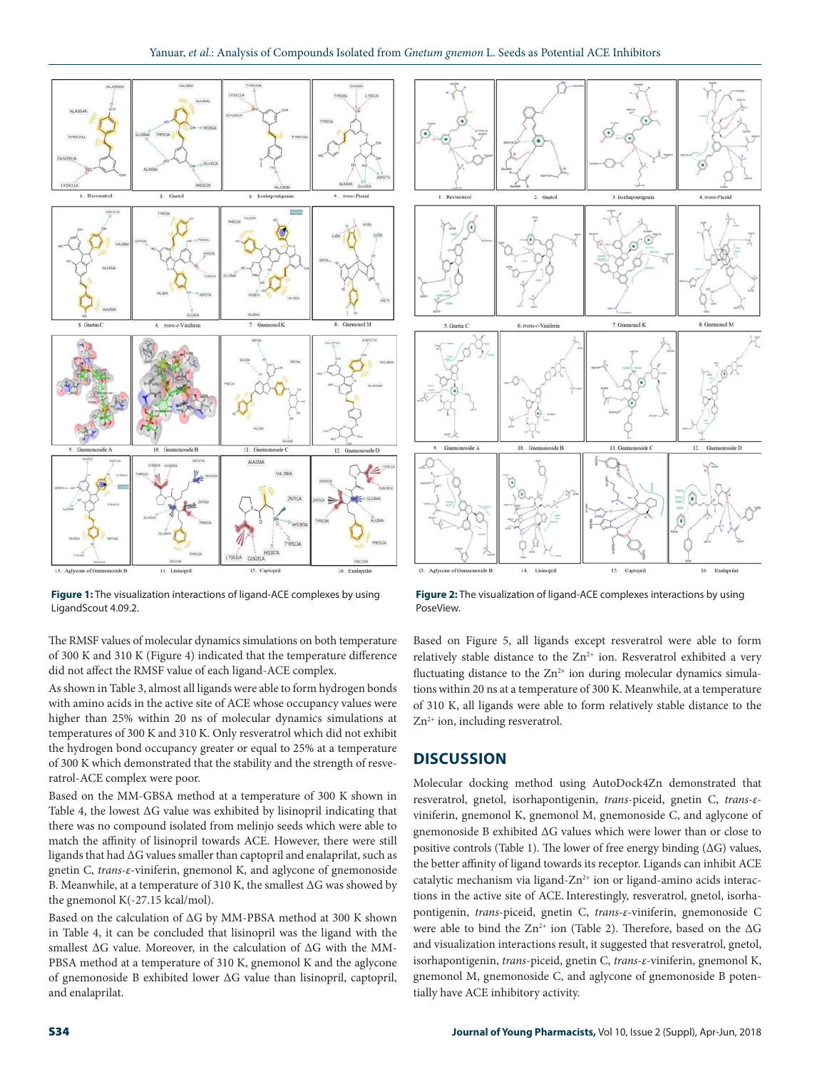

**Figure 1:** The visualization interactions of ligand-ACE complexes by using LigandScout 4.09.2.

The RMSF values of molecular dynamics simulations on both temperature of 300 K and 310 K (Figure 4) indicated that the temperature difference did not affect the RMSF value of each ligand-ACE complex.

As shown in Table 3, almost all ligands were able to form hydrogen bonds with amino acids in the active site of ACE whose occupancy values were higher than 25% within 20 ns of molecular dynamics simulations at temperatures of 300 K and 310 K. Only resveratrol which did not exhibit the hydrogen bond occupancy greater or equal to 25% at a temperature of 300 K which demonstrated that the stability and the strength of resveratrol-ACE complex were poor.

Based on the MM-GBSA method at a temperature of 300 K shown in Table 4, the lowest ΔG value was exhibited by lisinopril indicating that there was no compound isolated from melinjo seeds which were able to match the affinity of lisinopril towards ACE. However, there were still ligands that had ΔG values smaller than captopril and enalaprilat, such as gnetin C, *trans-ε*-viniferin, gnemonol K, and aglycone of gnemonoside B. Meanwhile, at a temperature of 310 K, the smallest ΔG was showed by the gnemonol K(-27.15 kcal/mol).

Based on the calculation of ΔG by MM-PBSA method at 300 K shown in Table 4, it can be concluded that lisinopril was the ligand with the smallest ΔG value. Moreover, in the calculation of ΔG with the MM-PBSA method at a temperature of 310 K, gnemonol K and the aglycone of gnemonoside B exhibited lower ΔG value than lisinopril, captopril, and enalaprilat.



**Figure 2:** The visualization of ligand-ACE complexes interactions by using PoseView.

Based on Figure 5, all ligands except resveratrol were able to form relatively stable distance to the  $Zn^{2+}$  ion. Resveratrol exhibited a very fluctuating distance to the  $Zn^{2+}$  ion during molecular dynamics simulations within 20 ns at a temperature of 300 K. Meanwhile, at a temperature of 310 K, all ligands were able to form relatively stable distance to the  $Zn^{2+}$  ion, including resveratrol.

#### **DISCUSSION**

Molecular docking method using AutoDock4Zn demonstrated that resveratrol, gnetol, isorhapontigenin, *trans*-piceid, gnetin C, *trans-ε*viniferin, gnemonol K, gnemonol M, gnemonoside C, and aglycone of gnemonoside B exhibited ∆G values which were lower than or close to positive controls (Table 1). The lower of free energy binding (∆G) values, the better affinity of ligand towards its receptor. Ligands can inhibit ACE catalytic mechanism via ligand- $Zn^{2+}$  ion or ligand-amino acids interactions in the active site of ACE. Interestingly, resveratrol, gnetol, isorhapontigenin, *trans*-piceid, gnetin C, *trans-ε-*viniferin, gnemonoside C were able to bind the Zn<sup>2+</sup> ion (Table 2). Therefore, based on the ∆G and visualization interactions result, it suggested that resveratrol, gnetol, isorhapontigenin, *trans*-piceid, gnetin C, *trans-ε-*viniferin, gnemonol K, gnemonol M, gnemonoside C, and aglycone of gnemonoside B potentially have ACE inhibitory activity.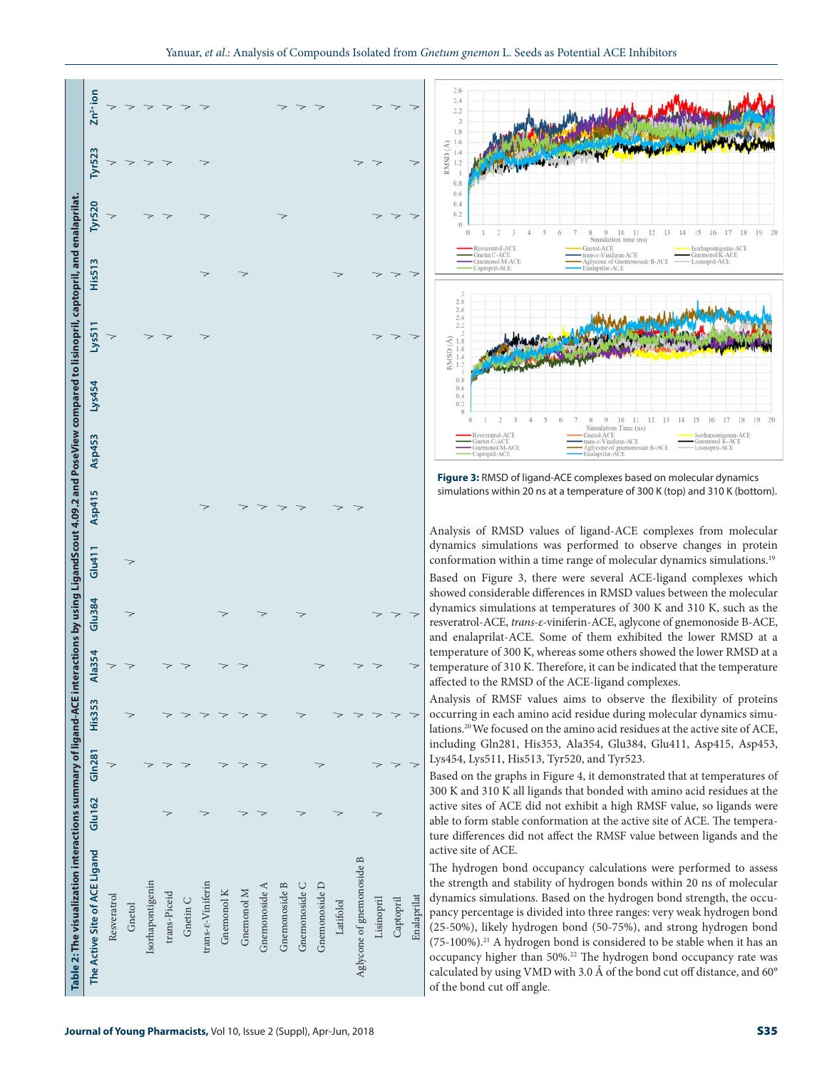



**Figure 3:** RMSD of ligand-ACE complexes based on molecular dynamics simulations within 20 ns at a temperature of 300 K (top) and 310 K (bottom).

Analysis of RMSD values of ligand-ACE complexes from molecular dynamics simulations was performed to observe changes in protein conformation within a time range of molecular dynamics simulations.<sup>19</sup> Based on Figure 3, there were several ACE-ligand complexes which showed considerable differences in RMSD values between the molecular dynamics simulations at temperatures of 300 K and 310 K, such as the resveratrol-ACE, *trans-ε-*viniferin-ACE, aglycone of gnemonoside B-ACE, and enalaprilat-ACE. Some of them exhibited the lower RMSD at a temperature of 300 K, whereas some others showed the lower RMSD at a temperature of 310 K. Therefore, it can be indicated that the temperature affected to the RMSD of the ACE-ligand complexes.

Analysis of RMSF values aims to observe the flexibility of proteins occurring in each amino acid residue during molecular dynamics simulations.20 We focused on the amino acid residues at the active site of ACE, including Gln281, His353, Ala354, Glu384, Glu411, Asp415, Asp453, Lys454, Lys511, His513, Tyr520, and Tyr523.

Based on the graphs in Figure 4, it demonstrated that at temperatures of 300 K and 310 K all ligands that bonded with amino acid residues at the active sites of ACE did not exhibit a high RMSF value, so ligands were able to form stable conformation at the active site of ACE. The temperature differences did not affect the RMSF value between ligands and the active site of ACE.

The hydrogen bond occupancy calculations were performed to assess the strength and stability of hydrogen bonds within 20 ns of molecular dynamics simulations. Based on the hydrogen bond strength, the occupancy percentage is divided into three ranges: very weak hydrogen bond (25-50%), likely hydrogen bond (50-75%), and strong hydrogen bond  $(75-100\%)$ .<sup>21</sup> A hydrogen bond is considered to be stable when it has an occupancy higher than 50%.<sup>22</sup> The hydrogen bond occupancy rate was calculated by using VMD with 3.0 Å of the bond cut off distance, and 60° of the bond cut off angle.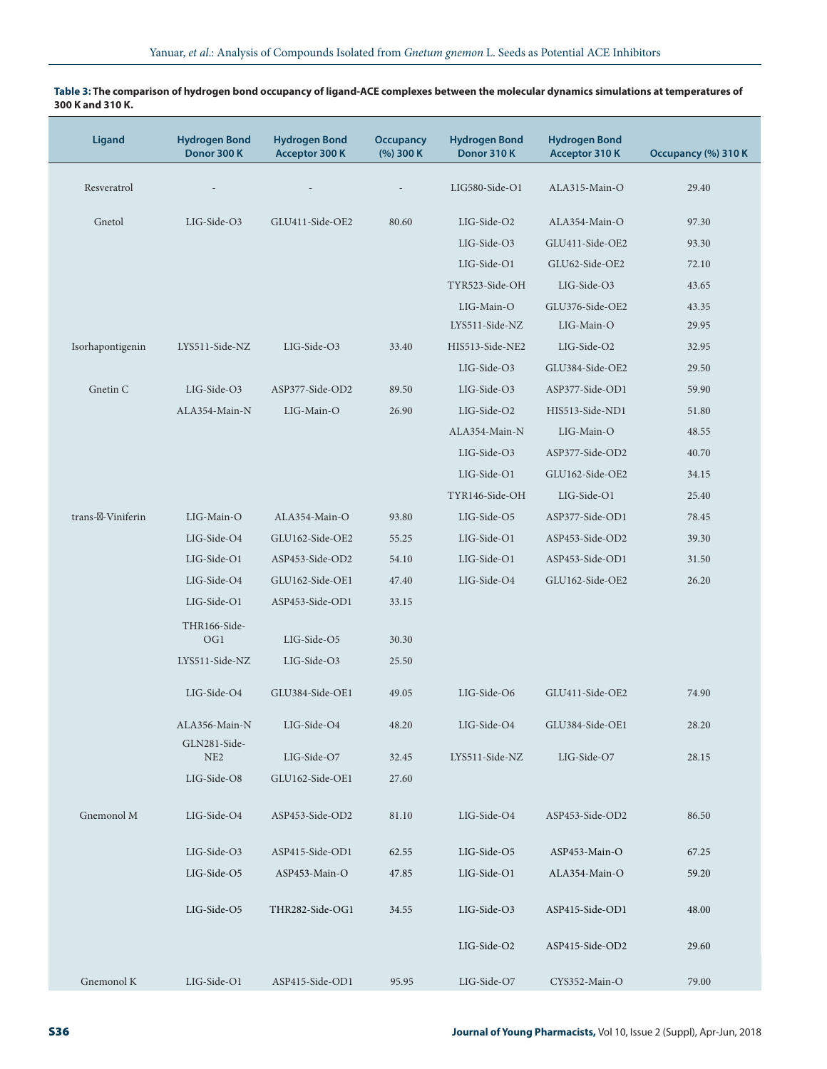# **Ligand Hydrogen Bond Donor 300 K Hydrogen Bond Acceptor 300 K Occupancy (%) 300 K Hydrogen Bond Donor 310 K Hydrogen Bond Acceptor 310 K Occupancy (%) 310 K** Resveratrol - - - LIG580-Side-O1 ALA315-Main-O 29.40 Gnetol LIG-Side-O3 GLU411-Side-OE2 80.60 LIG-Side-O2 ALA354-Main-O 97.30 LIG-Side-O3 GLU411-Side-OE2 93.30 LIG-Side-O1 GLU62-Side-OE2 72.10 TYR523-Side-OH LIG-Side-O3 43.65 LIG-Main-O GLU376-Side-OE2 43.35 LYS511-Side-NZ LIG-Main-O 29.95 Isorhapontigenin LYS511-Side-NZ LIG-Side-O3 33.40 HIS513-Side-NE2 LIG-Side-O2 32.95 LIG-Side-O3 GLU384-Side-OE2 29.50 Gnetin C LIG-Side-O3 ASP377-Side-OD2 89.50 LIG-Side-O3 ASP377-Side-OD1 59.90 ALA354-Main-N LIG-Main-O 26.90 LIG-Side-O2 HIS513-Side-ND1 51.80 ALA354-Main-N LIG-Main-O 48.55 LIG-Side-O3 ASP377-Side-OD2 40.70 LIG-Side-O1 GLU162-Side-OE2 34.15 TYR146-Side-OH LIG-Side-O1 25.40 trans- -Viniferin LIG-Main-O ALA354-Main-O 93.80 LIG-Side-O5 ASP377-Side-OD1 78.45 LIG-Side-O4 GLU162-Side-OE2 55.25 LIG-Side-O1 ASP453-Side-OD2 39.30 LIG-Side-O1 ASP453-Side-OD2 54.10 LIG-Side-O1 ASP453-Side-OD1 31.50 LIG-Side-O4 GLU162-Side-OE1 47.40 LIG-Side-O4 GLU162-Side-OE2 26.20 LIG-Side-O1 ASP453-Side-OD1 33.15 THR166-Side-OG1 LIG-Side-O5 30.30 LYS511-Side-NZ LIG-Side-O3 25.50 LIG-Side-O4 GLU384-Side-OE1 49.05 LIG-Side-O6 GLU411-Side-OE2 74.90 ALA356-Main-N LIG-Side-O4 48.20 LIG-Side-O4 GLU384-Side-OE1 28.20 GLN281-Side-NE2 LIG-Side-O7 32.45 LYS511-Side-NZ LIG-Side-O7 28.15 LIG-Side-O8 GLU162-Side-OE1 27.60 Gnemonol M LIG-Side-O4 ASP453-Side-OD2 81.10 LIG-Side-O4 ASP453-Side-OD2 86.50 LIG-Side-O3 ASP415-Side-OD1 62.55 LIG-Side-O5 ASP453-Main-O 67.25 LIG-Side-O5 ASP453-Main-O 47.85 LIG-Side-O1 ALA354-Main-O 59.20 LIG-Side-O5 THR282-Side-OG1 34.55 LIG-Side-O3 ASP415-Side-OD1 48.00 LIG-Side-O2 ASP415-Side-OD2 29.60 Gnemonol K LIG-Side-O1 ASP415-Side-OD1 95.95 LIG-Side-O7 CYS352-Main-O 79.00

#### **Table 3: The comparison of hydrogen bond occupancy of ligand-ACE complexes between the molecular dynamics simulations at temperatures of 300 K and 310 K.**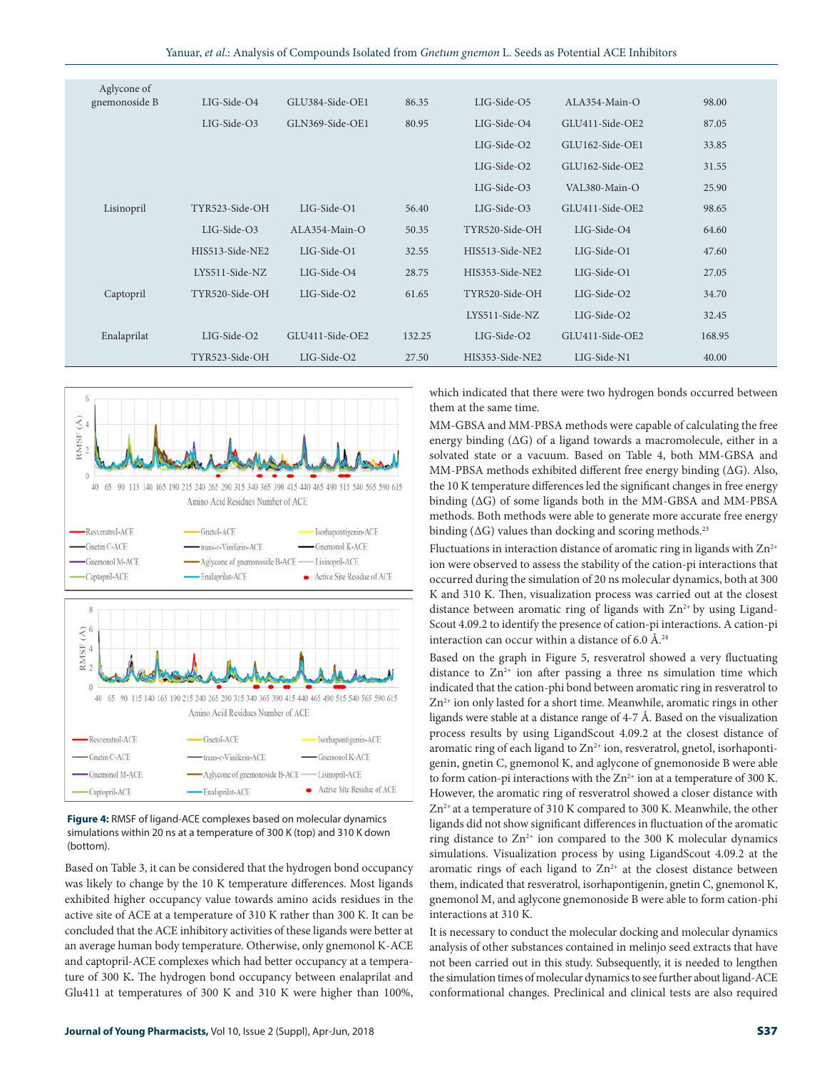| Aglycone of   |                  |                  |        |                 |                  |        |
|---------------|------------------|------------------|--------|-----------------|------------------|--------|
| gnemonoside B | $LIG-Side-O4$    | GLU384-Side-OE1  | 86.35  | LIG-Side-O5     | $AI.A354-Main-O$ | 98.00  |
|               | LIG-Side-O3      | GLN369-Side-OE1  | 80.95  | LIG-Side-O4     | GLU411-Side-OE2  | 87.05  |
|               |                  |                  |        | $LIG-Side-O2$   | GLU162-Side-OE1  | 33.85  |
|               |                  |                  |        | $LIG-Side-O2$   | GLU162-Side-OE2  | 31.55  |
|               |                  |                  |        | $LIG-Side-O3$   | VAL380-Main-O    | 25.90  |
| Lisinopril    | TYR523-Side-OH   | LIG-Side-O1      | 56.40  | $LIG-Side-O3$   | GLU411-Side-OE2  | 98.65  |
|               | LIG-Side-O3      | $AI.A354-Main-O$ | 50.35  | TYR520-Side-OH  | LIG-Side-O4      | 64.60  |
|               | HIS513-Side-NE2  | LIG-Side-O1      | 32.55  | HIS513-Side-NE2 | LIG-Side-O1      | 47.60  |
|               | $LYS511-Side-NZ$ | LIG-Side-O4      | 28.75  | HIS353-Side-NE2 | LIG-Side-O1      | 27.05  |
| Captopril     | TYR520-Side-OH   | LIG-Side-O2      | 61.65  | TYR520-Side-OH  | LIG-Side-O2      | 34.70  |
|               |                  |                  |        | LYS511-Side-NZ  | LIG-Side-O2      | 32.45  |
| Enalaprilat   | LIG-Side-O2      | GLU411-Side-OE2  | 132.25 | $LIG-Side-O2$   | GLU411-Side-OE2  | 168.95 |
|               | TYR523-Side-OH   | $LIG-Side-O2$    | 27.50  | HIS353-Side-NE2 | LIG-Side-N1      | 40.00  |



**Figure 4:** RMSF of ligand-ACE complexes based on molecular dynamics simulations within 20 ns at a temperature of 300 K (top) and 310 K down (bottom).

Based on Table 3, it can be considered that the hydrogen bond occupancy was likely to change by the 10 K temperature differences. Most ligands exhibited higher occupancy value towards amino acids residues in the active site of ACE at a temperature of 310 K rather than 300 K. It can be concluded that the ACE inhibitory activities of these ligands were better at an average human body temperature. Otherwise, only gnemonol K-ACE and captopril-ACE complexes which had better occupancy at a temperature of 300 K**.** The hydrogen bond occupancy between enalaprilat and Glu411 at temperatures of 300 K and 310 K were higher than 100%,

which indicated that there were two hydrogen bonds occurred between them at the same time.

MM-GBSA and MM-PBSA methods were capable of calculating the free energy binding (∆G) of a ligand towards a macromolecule, either in a solvated state or a vacuum. Based on Table 4, both MM-GBSA and MM-PBSA methods exhibited different free energy binding (∆G). Also, the 10 K temperature differences led the significant changes in free energy binding (∆G) of some ligands both in the MM-GBSA and MM-PBSA methods. Both methods were able to generate more accurate free energy binding ( $\Delta G$ ) values than docking and scoring methods.<sup>23</sup>

Fluctuations in interaction distance of aromatic ring in ligands with  $Zn^{2+}$ ion were observed to assess the stability of the cation-pi interactions that occurred during the simulation of 20 ns molecular dynamics, both at 300 K and 310 K. Then, visualization process was carried out at the closest distance between aromatic ring of ligands with  $Zn^{2+}$  by using Ligand-Scout 4.09.2 to identify the presence of cation-pi interactions. A cation-pi interaction can occur within a distance of 6.0  $\AA$ .<sup>24</sup>

Based on the graph in Figure 5, resveratrol showed a very fluctuating distance to  $Zn^{2+}$  ion after passing a three ns simulation time which indicated that the cation-phi bond between aromatic ring in resveratrol to  $Zn^{2+}$  ion only lasted for a short time. Meanwhile, aromatic rings in other ligands were stable at a distance range of 4-7 Å. Based on the visualization process results by using LigandScout 4.09.2 at the closest distance of aromatic ring of each ligand to  $Zn^{2+}$  ion, resveratrol, gnetol, isorhapontigenin, gnetin C, gnemonol K, and aglycone of gnemonoside B were able to form cation-pi interactions with the  $Zn^{2+}$  ion at a temperature of 300 K. However, the aromatic ring of resveratrol showed a closer distance with  $Zn^{2+}$  at a temperature of 310 K compared to 300 K. Meanwhile, the other ligands did not show significant differences in fluctuation of the aromatic ring distance to  $Zn^{2+}$  ion compared to the 300 K molecular dynamics simulations. Visualization process by using LigandScout 4.09.2 at the aromatic rings of each ligand to  $Zn^{2+}$  at the closest distance between them, indicated that resveratrol, isorhapontigenin, gnetin C, gnemonol K, gnemonol M, and aglycone gnemonoside B were able to form cation-phi interactions at 310 K.

It is necessary to conduct the molecular docking and molecular dynamics analysis of other substances contained in melinjo seed extracts that have not been carried out in this study. Subsequently, it is needed to lengthen the simulation times of molecular dynamics to see further about ligand-ACE conformational changes. Preclinical and clinical tests are also required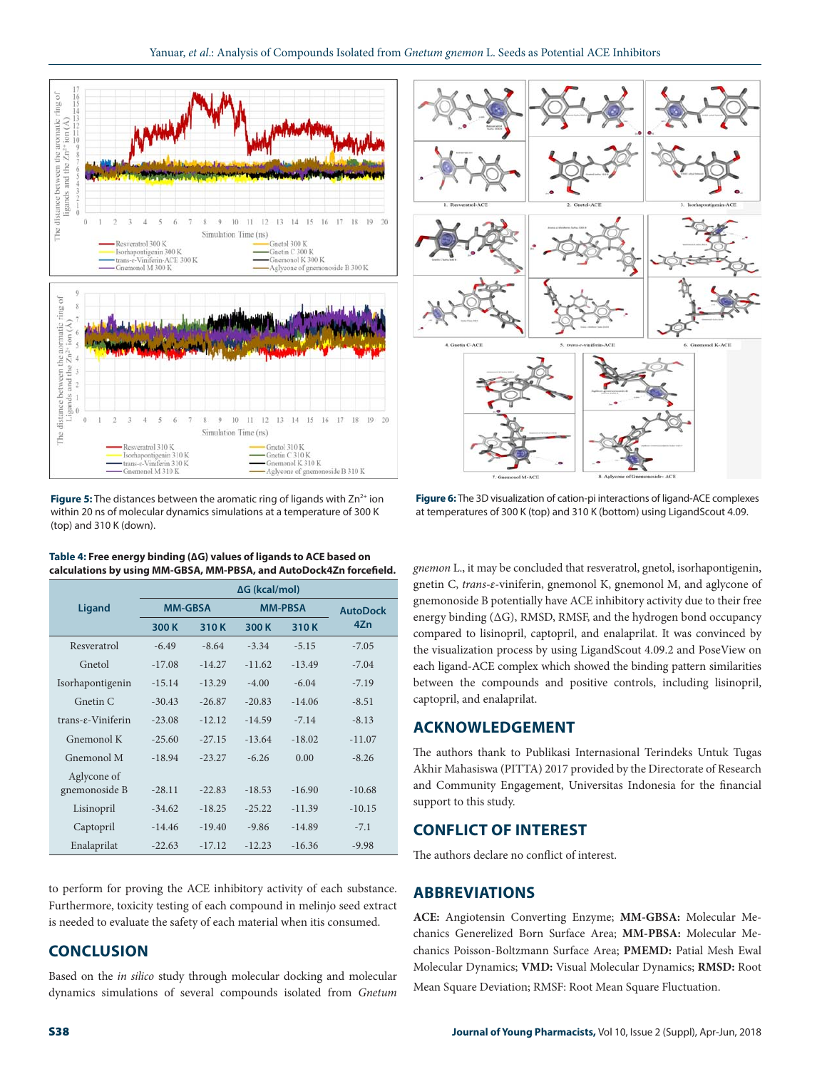

**Figure 5:** The distances between the aromatic ring of ligands with Zn<sup>2+</sup> ion within 20 ns of molecular dynamics simulations at a temperature of 300 K (top) and 310 K (down).

|                            | $\Delta G$ (kcal/mol) |          |                |          |                 |  |
|----------------------------|-----------------------|----------|----------------|----------|-----------------|--|
| <b>Ligand</b>              | <b>MM-GBSA</b>        |          | <b>MM-PRSA</b> |          | <b>AutoDock</b> |  |
|                            | 300 K                 | 310K     | 300K           | 310K     | 4Zn             |  |
| Resveratrol                | $-6.49$               | $-8.64$  | $-3.34$        | $-5.15$  | $-7.05$         |  |
| Gnetol                     | $-17.08$              | $-14.27$ | $-11.62$       | $-13.49$ | $-7.04$         |  |
| Isorhapontigenin           | $-15.14$              | $-13.29$ | $-4.00$        | $-6.04$  | $-7.19$         |  |
| Gnetin C                   | $-30.43$              | $-26.87$ | $-20.83$       | $-14.06$ | $-8.51$         |  |
| $trans-\epsilon-Viniferin$ | $-23.08$              | $-12.12$ | $-14.59$       | $-7.14$  | $-8.13$         |  |
| Gnemonol K                 | $-25.60$              | $-27.15$ | $-13.64$       | $-18.02$ | $-11.07$        |  |
| Gnemonol M                 | $-18.94$              | $-23.27$ | $-6.26$        | 0.00     | $-8.26$         |  |
| Aglycone of                |                       |          |                |          |                 |  |
| gnemonoside B              | $-28.11$              | $-22.83$ | $-18.53$       | $-16.90$ | $-10.68$        |  |
| Lisinopril                 | $-34.62$              | $-18.25$ | $-25.22$       | $-11.39$ | $-10.15$        |  |
| Captopril                  | $-14.46$              | $-19.40$ | $-9.86$        | $-14.89$ | $-7.1$          |  |
| Enalaprilat                | $-22.63$              | $-17.12$ | $-12.23$       | $-16.36$ | $-9.98$         |  |

**Table 4: Free energy binding (∆G) values of ligands to ACE based on calculations by using MM-GBSA, MM-PBSA, and AutoDock4Zn forcefield.**

to perform for proving the ACE inhibitory activity of each substance. Furthermore, toxicity testing of each compound in melinjo seed extract is needed to evaluate the safety of each material when itis consumed.

# **CONCLUSION**

Based on the *in silico* study through molecular docking and molecular dynamics simulations of several compounds isolated from *Gnetum* 



**Figure 6:** The 3D visualization of cation-pi interactions of ligand-ACE complexes at temperatures of 300 K (top) and 310 K (bottom) using LigandScout 4.09.

*gnemon* L., it may be concluded that resveratrol, gnetol, isorhapontigenin, gnetin C, *trans-ε*-viniferin, gnemonol K, gnemonol M, and aglycone of gnemonoside B potentially have ACE inhibitory activity due to their free energy binding (∆G), RMSD, RMSF, and the hydrogen bond occupancy compared to lisinopril, captopril, and enalaprilat. It was convinced by the visualization process by using LigandScout 4.09.2 and PoseView on each ligand-ACE complex which showed the binding pattern similarities between the compounds and positive controls, including lisinopril, captopril, and enalaprilat.

## **ACKNOWLEDGEMENT**

The authors thank to Publikasi Internasional Terindeks Untuk Tugas Akhir Mahasiswa (PITTA) 2017 provided by the Directorate of Research and Community Engagement, Universitas Indonesia for the financial support to this study.

## **CONFLICT OF INTEREST**

The authors declare no conflict of interest.

#### **ABBREVIATIONS**

**ACE:** Angiotensin Converting Enzyme; **MM-GBSA:** Molecular Mechanics Generelized Born Surface Area; **MM-PBSA:** Molecular Mechanics Poisson-Boltzmann Surface Area; **PMEMD:** Patial Mesh Ewal Molecular Dynamics; **VMD:** Visual Molecular Dynamics; **RMSD:** Root Mean Square Deviation; RMSF: Root Mean Square Fluctuation.